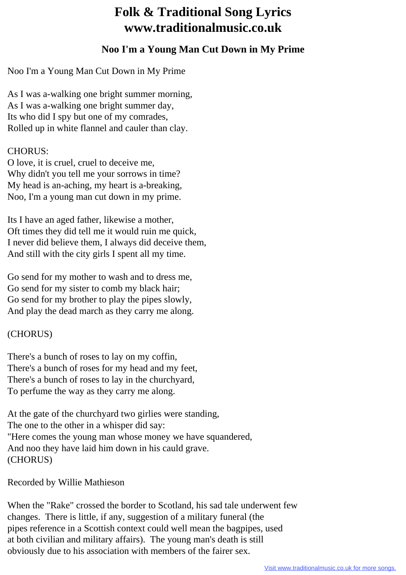## **Folk & Traditional Song Lyrics www.traditionalmusic.co.uk**

## **Noo I'm a Young Man Cut Down in My Prime**

Noo I'm a Young Man Cut Down in My Prime

As I was a-walking one bright summer morning, As I was a-walking one bright summer day, Its who did I spy but one of my comrades, Rolled up in white flannel and cauler than clay.

## CHORUS:

O love, it is cruel, cruel to deceive me, Why didn't you tell me your sorrows in time? My head is an-aching, my heart is a-breaking, Noo, I'm a young man cut down in my prime.

Its I have an aged father, likewise a mother, Oft times they did tell me it would ruin me quick, I never did believe them, I always did deceive them, And still with the city girls I spent all my time.

Go send for my mother to wash and to dress me, Go send for my sister to comb my black hair; Go send for my brother to play the pipes slowly, And play the dead march as they carry me along.

## (CHORUS)

There's a bunch of roses to lay on my coffin, There's a bunch of roses for my head and my feet, There's a bunch of roses to lay in the churchyard, To perfume the way as they carry me along.

At the gate of the churchyard two girlies were standing, The one to the other in a whisper did say: "Here comes the young man whose money we have squandered, And noo they have laid him down in his cauld grave. (CHORUS)

Recorded by Willie Mathieson

When the "Rake" crossed the border to Scotland, his sad tale underwent few changes. There is little, if any, suggestion of a military funeral (the pipes reference in a Scottish context could well mean the bagpipes, used at both civilian and military affairs). The young man's death is still obviously due to his association with members of the fairer sex.